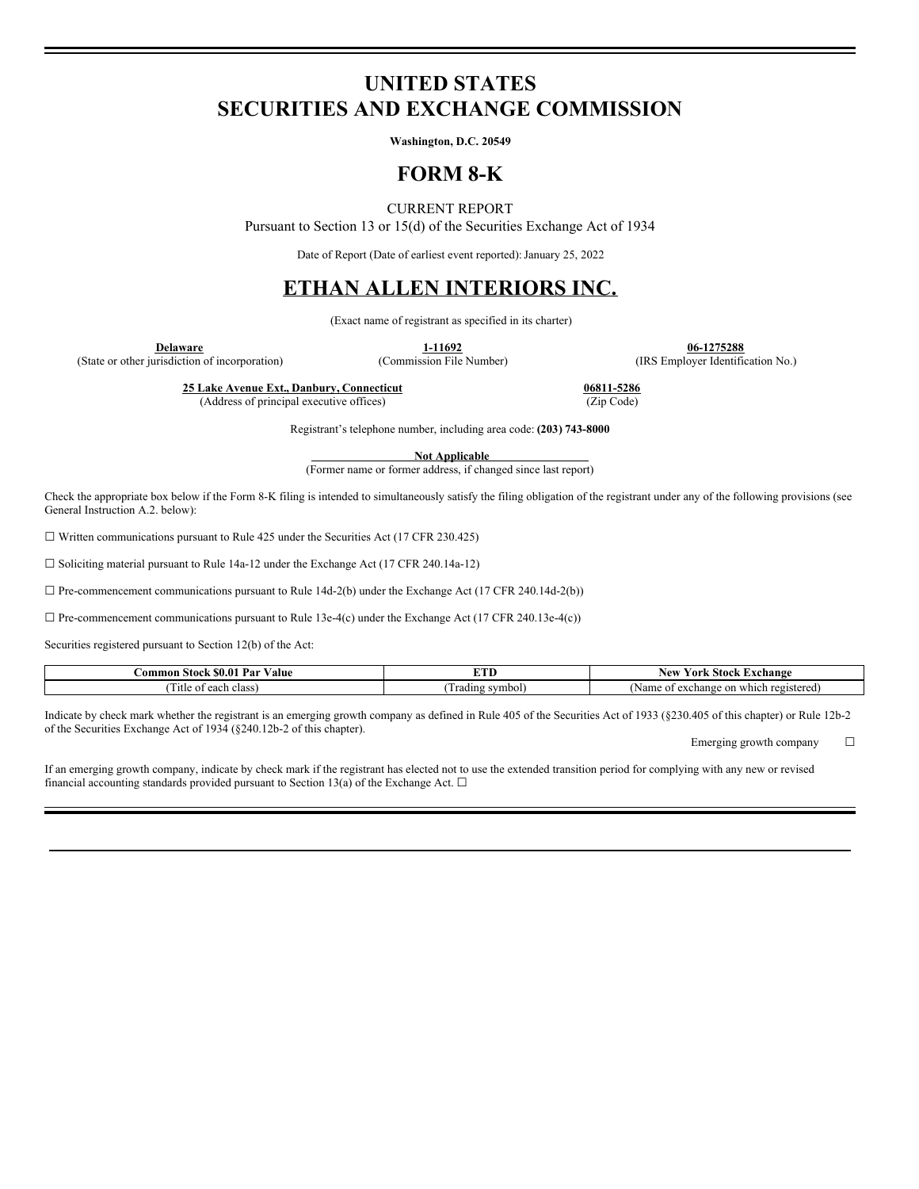### **UNITED STATES SECURITIES AND EXCHANGE COMMISSION**

**Washington, D.C. 20549**

### **FORM 8-K**

### CURRENT REPORT

Pursuant to Section 13 or 15(d) of the Securities Exchange Act of 1934

Date of Report (Date of earliest event reported): January 25, 2022

# **ETHAN ALLEN INTERIORS INC.**

(Exact name of registrant as specified in its charter)

(State or other jurisdiction of incorporation)

**1-11692 06-1275288**<br> **1-11692 1-11692 1275288 1275288**<br> **1-11692 1275288 1285 1285 1286 1285 1286 1286 1286 1286 1286 1286 1286 1286 1286 1286 1286 1286 1286 1286 1286 128** 

**25 Lake Avenue Ext., Danbury, Connecticut 06811-5286**

(Address of principal executive offices) (Zip Code)

Registrant's telephone number, including area code: **(203) 743-8000**

**Not Applicable**

(Former name or former address, if changed since last report)

Check the appropriate box below if the Form 8-K filing is intended to simultaneously satisfy the filing obligation of the registrant under any of the following provisions (see General Instruction A.2. below):

 $\Box$  Written communications pursuant to Rule 425 under the Securities Act (17 CFR 230.425)

 $\Box$  Soliciting material pursuant to Rule 14a-12 under the Exchange Act (17 CFR 240.14a-12)

 $\Box$  Pre-commencement communications pursuant to Rule 14d-2(b) under the Exchange Act (17 CFR 240.14d-2(b))

 $\Box$  Pre-commencement communications pursuant to Rule 13e-4(c) under the Exchange Act (17 CFR 240.13e-4(c))

Securities registered pursuant to Section 12(b) of the Act:

| Par<br><b>Stock \$0.0</b><br>'alue<br>.`ommon | ----                | ±xchange<br>New<br>-Stock<br>York             |
|-----------------------------------------------|---------------------|-----------------------------------------------|
| each<br>class<br>1 itle<br>ΩŤ                 | symbol,<br>. radıng | Name<br>on which registered<br>~xchange<br>ΩŤ |

Indicate by check mark whether the registrant is an emerging growth company as defined in Rule 405 of the Securities Act of 1933 (§230.405 of this chapter) or Rule 12b-2 of the Securities Exchange Act of 1934 (§240.12b-2 of this chapter).

Emerging growth company  $\Box$ 

If an emerging growth company, indicate by check mark if the registrant has elected not to use the extended transition period for complying with any new or revised financial accounting standards provided pursuant to Section 13(a) of the Exchange Act.  $\Box$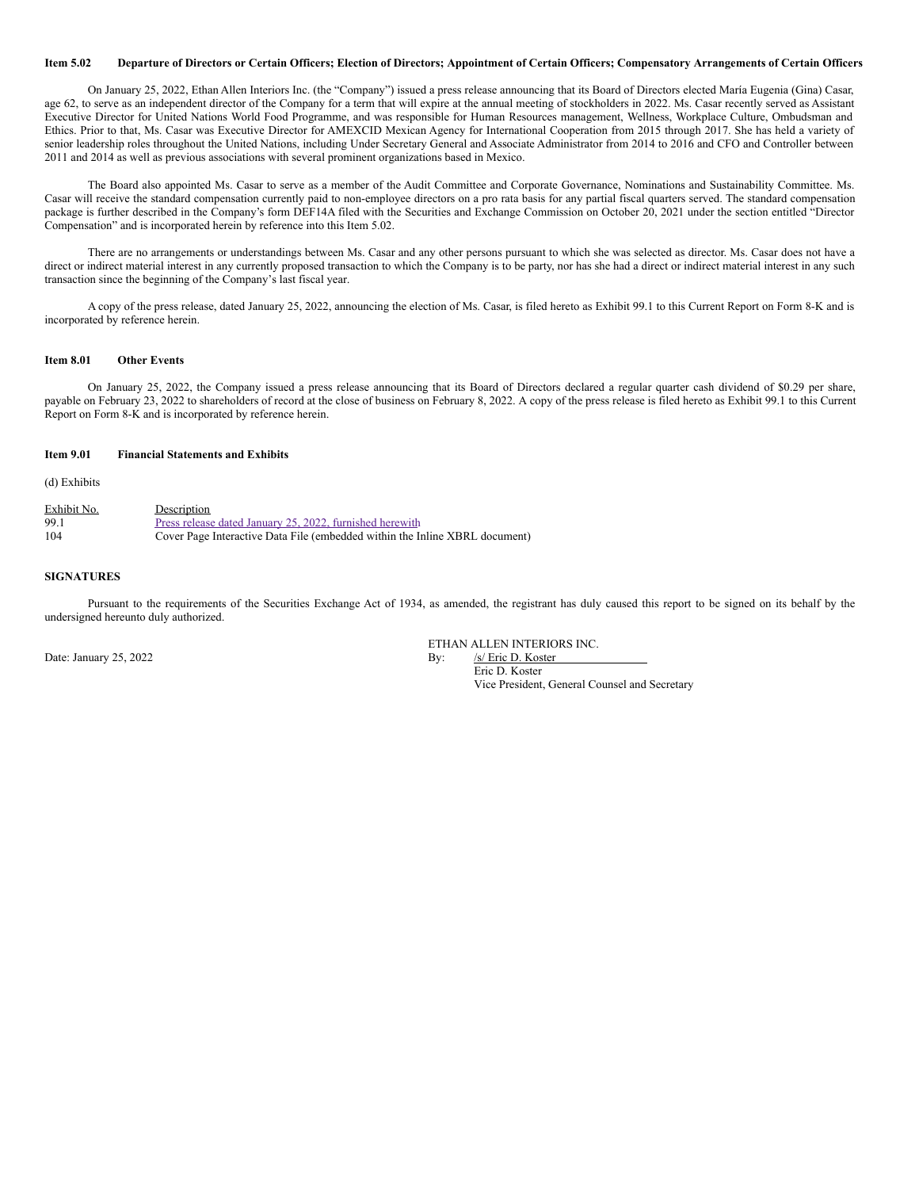#### Item 5.02 Departure of Directors or Certain Officers; Election of Directors; Appointment of Certain Officers; Compensatory Arrangements of Certain Officers

On January 25, 2022, Ethan Allen Interiors Inc. (the "Company") issued a press release announcing that its Board of Directors elected María Eugenia (Gina) Casar, age 62, to serve as an independent director of the Company for a term that will expire at the annual meeting of stockholders in 2022. Ms. Casar recently served as Assistant Executive Director for United Nations World Food Programme, and was responsible for Human Resources management, Wellness, Workplace Culture, Ombudsman and Ethics. Prior to that, Ms. Casar was Executive Director for AMEXCID Mexican Agency for International Cooperation from 2015 through 2017. She has held a variety of senior leadership roles throughout the United Nations, including Under Secretary General and Associate Administrator from 2014 to 2016 and CFO and Controller between 2011 and 2014 as well as previous associations with several prominent organizations based in Mexico.

The Board also appointed Ms. Casar to serve as a member of the Audit Committee and Corporate Governance, Nominations and Sustainability Committee. Ms. Casar will receive the standard compensation currently paid to non-employee directors on a pro rata basis for any partial fiscal quarters served. The standard compensation package is further described in the Company's form DEF14A filed with the Securities and Exchange Commission on October 20, 2021 under the section entitled "Director Compensation" and is incorporated herein by reference into this Item 5.02.

There are no arrangements or understandings between Ms. Casar and any other persons pursuant to which she was selected as director. Ms. Casar does not have a direct or indirect material interest in any currently proposed transaction to which the Company is to be party, nor has she had a direct or indirect material interest in any such transaction since the beginning of the Company's last fiscal year.

A copy of the press release, dated January 25, 2022, announcing the election of Ms. Casar, is filed hereto as Exhibit 99.1 to this Current Report on Form 8-K and is incorporated by reference herein.

#### **Item 8.01 Other Events**

On January 25, 2022, the Company issued a press release announcing that its Board of Directors declared a regular quarter cash dividend of \$0.29 per share, payable on February 23, 2022 to shareholders of record at the close of business on February 8, 2022. A copy of the press release is filed hereto as Exhibit 99.1 to this Current Report on Form 8-K and is incorporated by reference herein.

#### **Item 9.01 Financial Statements and Exhibits**

(d) Exhibits

| Exhibit No. | Description                                                                 |
|-------------|-----------------------------------------------------------------------------|
| 99.1        | Press release dated January 25, 2022, furnished here with                   |
| 104         | Cover Page Interactive Data File (embedded within the Inline XBRL document) |

#### **SIGNATURES**

Pursuant to the requirements of the Securities Exchange Act of 1934, as amended, the registrant has duly caused this report to be signed on its behalf by the undersigned hereunto duly authorized.

Date: January 25, 2022 By: /s/ Eric D. Koster

ETHAN ALLEN INTERIORS INC.

Eric D. Koster Vice President, General Counsel and Secretary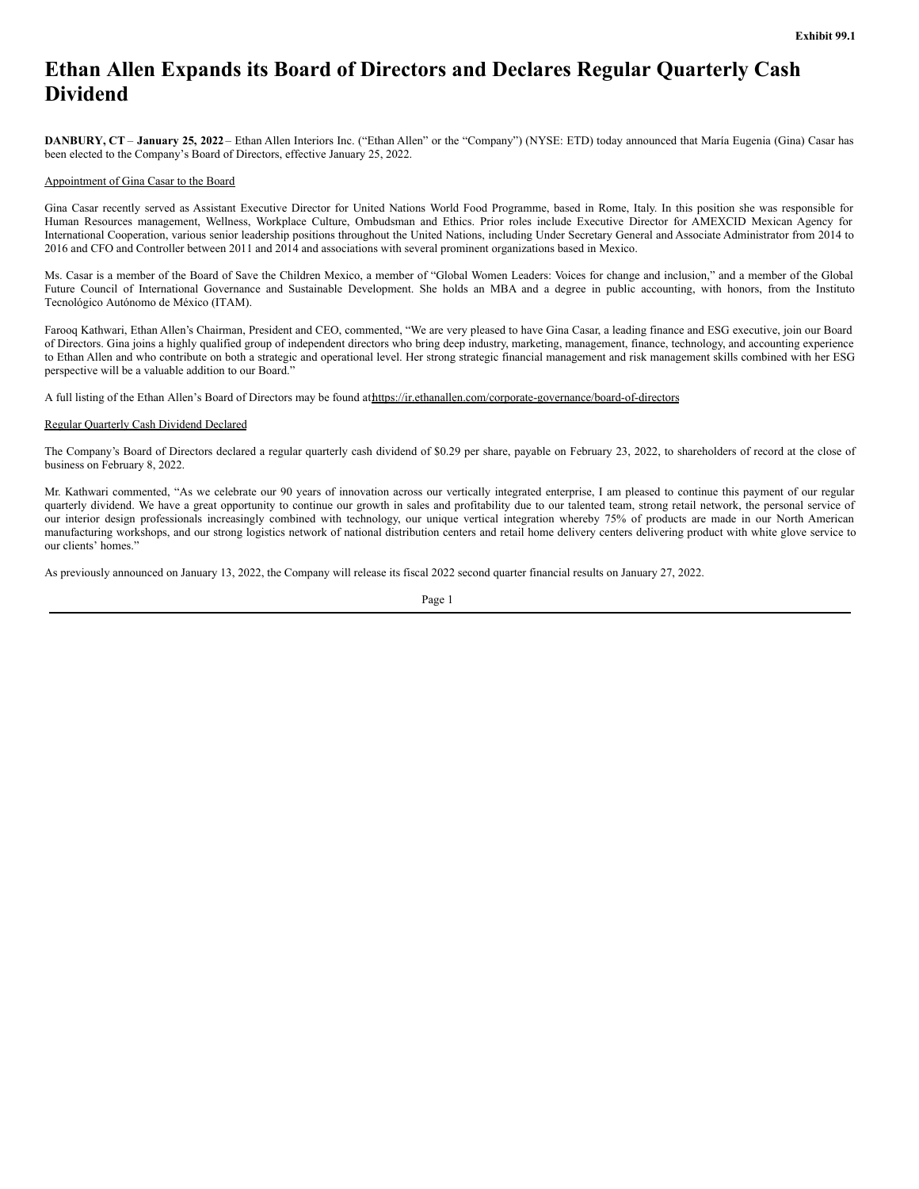# <span id="page-2-0"></span>**Ethan Allen Expands its Board of Directors and Declares Regular Quarterly Cash Dividend**

**DANBURY, CT** – **January 25, 2022** – Ethan Allen Interiors Inc. ("Ethan Allen" or the "Company") (NYSE: ETD) today announced that María Eugenia (Gina) Casar has been elected to the Company's Board of Directors, effective January 25, 2022.

#### Appointment of Gina Casar to the Board

Gina Casar recently served as Assistant Executive Director for United Nations World Food Programme, based in Rome, Italy. In this position she was responsible for Human Resources management, Wellness, Workplace Culture, Ombudsman and Ethics. Prior roles include Executive Director for AMEXCID Mexican Agency for International Cooperation, various senior leadership positions throughout the United Nations, including Under Secretary General and Associate Administrator from 2014 to 2016 and CFO and Controller between 2011 and 2014 and associations with several prominent organizations based in Mexico.

Ms. Casar is a member of the Board of Save the Children Mexico, a member of "Global Women Leaders: Voices for change and inclusion," and a member of the Global Future Council of International Governance and Sustainable Development. She holds an MBA and a degree in public accounting, with honors, from the Instituto Tecnológico Autónomo de México (ITAM).

Farooq Kathwari, Ethan Allen's Chairman, President and CEO, commented, "We are very pleased to have Gina Casar, a leading finance and ESG executive, join our Board of Directors. Gina joins a highly qualified group of independent directors who bring deep industry, marketing, management, finance, technology, and accounting experience to Ethan Allen and who contribute on both a strategic and operational level. Her strong strategic financial management and risk management skills combined with her ESG perspective will be a valuable addition to our Board."

A full listing of the Ethan Allen's Board of Directors may be found athttps://ir.ethanallen.com/corporate-governance/board-of-directors

#### Regular Quarterly Cash Dividend Declared

The Company's Board of Directors declared a regular quarterly cash dividend of \$0.29 per share, payable on February 23, 2022, to shareholders of record at the close of business on February 8, 2022.

Mr. Kathwari commented, "As we celebrate our 90 years of innovation across our vertically integrated enterprise, I am pleased to continue this payment of our regular quarterly dividend. We have a great opportunity to continue our growth in sales and profitability due to our talented team, strong retail network, the personal service of our interior design professionals increasingly combined with technology, our unique vertical integration whereby 75% of products are made in our North American manufacturing workshops, and our strong logistics network of national distribution centers and retail home delivery centers delivering product with white glove service to our clients' homes."

As previously announced on January 13, 2022, the Company will release its fiscal 2022 second quarter financial results on January 27, 2022.

Page 1